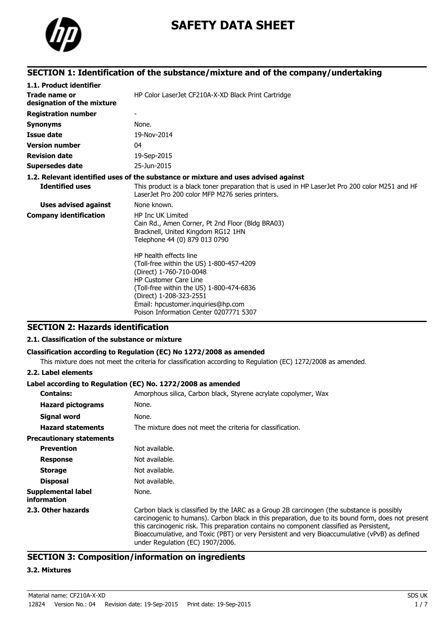

# **SAFETY DATA SHEET**

### **SECTION 1: Identification of the substance/mixture and of the company/undertaking**

| 1.1. Product identifier                     |                                                                                                                                                                                                                                                                                      |
|---------------------------------------------|--------------------------------------------------------------------------------------------------------------------------------------------------------------------------------------------------------------------------------------------------------------------------------------|
| Trade name or<br>designation of the mixture | HP Color LaserJet CF210A-X-XD Black Print Cartridge                                                                                                                                                                                                                                  |
| <b>Registration number</b>                  |                                                                                                                                                                                                                                                                                      |
| <b>Synonyms</b>                             | None.                                                                                                                                                                                                                                                                                |
| <b>Issue date</b>                           | 19-Nov-2014                                                                                                                                                                                                                                                                          |
| <b>Version number</b>                       | 04                                                                                                                                                                                                                                                                                   |
| <b>Revision date</b>                        | 19-Sep-2015                                                                                                                                                                                                                                                                          |
| <b>Supersedes date</b>                      | 25-Jun-2015                                                                                                                                                                                                                                                                          |
|                                             | 1.2. Relevant identified uses of the substance or mixture and uses advised against                                                                                                                                                                                                   |
| <b>Identified uses</b>                      | This product is a black toner preparation that is used in HP LaserJet Pro 200 color M251 and HF<br>LaserJet Pro 200 color MFP M276 series printers.                                                                                                                                  |
| Uses advised against                        | None known.                                                                                                                                                                                                                                                                          |
| <b>Company identification</b>               | <b>HP Inc UK Limited</b><br>Cain Rd., Amen Corner, Pt 2nd Floor (Bldg BRA03)<br>Bracknell, United Kingdom RG12 1HN<br>Telephone 44 (0) 879 013 0790                                                                                                                                  |
|                                             | HP health effects line<br>(Toll-free within the US) 1-800-457-4209<br>(Direct) 1-760-710-0048<br><b>HP Customer Care Line</b><br>(Toll-free within the US) 1-800-474-6836<br>(Direct) 1-208-323-2551<br>Email: hpcustomer.inquiries@hp.com<br>Poison Information Center 0207771 5307 |

### **SECTION 2: Hazards identification**

#### **2.1. Classification of the substance or mixture**

#### **Classification according to Regulation (EC) No 1272/2008 as amended**

This mixture does not meet the criteria for classification according to Regulation (EC) 1272/2008 as amended.

#### **2.2. Label elements**

#### **Label according to Regulation (EC) No. 1272/2008 as amended**

| <b>Contains:</b>                  | Amorphous silica, Carbon black, Styrene acrylate copolymer, Wax                                                                                                                                                                                                                                                                                                                                                                    |
|-----------------------------------|------------------------------------------------------------------------------------------------------------------------------------------------------------------------------------------------------------------------------------------------------------------------------------------------------------------------------------------------------------------------------------------------------------------------------------|
|                                   |                                                                                                                                                                                                                                                                                                                                                                                                                                    |
| <b>Hazard pictograms</b>          | None.                                                                                                                                                                                                                                                                                                                                                                                                                              |
| Signal word                       | None.                                                                                                                                                                                                                                                                                                                                                                                                                              |
| <b>Hazard statements</b>          | The mixture does not meet the criteria for classification.                                                                                                                                                                                                                                                                                                                                                                         |
| <b>Precautionary statements</b>   |                                                                                                                                                                                                                                                                                                                                                                                                                                    |
| <b>Prevention</b>                 | Not available.                                                                                                                                                                                                                                                                                                                                                                                                                     |
| <b>Response</b>                   | Not available.                                                                                                                                                                                                                                                                                                                                                                                                                     |
| <b>Storage</b>                    | Not available.                                                                                                                                                                                                                                                                                                                                                                                                                     |
| <b>Disposal</b>                   | Not available.                                                                                                                                                                                                                                                                                                                                                                                                                     |
| Supplemental label<br>information | None.                                                                                                                                                                                                                                                                                                                                                                                                                              |
| 2.3. Other hazards                | Carbon black is classified by the IARC as a Group 2B carcinogen (the substance is possibly<br>carcinogenic to humans). Carbon black in this preparation, due to its bound form, does not present<br>this carcinogenic risk. This preparation contains no component classified as Persistent,<br>Bioaccumulative, and Toxic (PBT) or very Persistent and very Bioaccumulative (vPvB) as defined<br>under Regulation (EC) 1907/2006. |

### **SECTION 3: Composition/information on ingredients**

#### **3.2. Mixtures**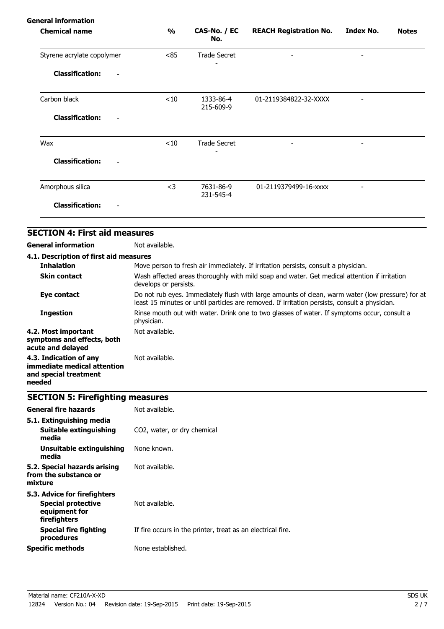| <b>General information</b>                         |               |                        |                               |                          |              |
|----------------------------------------------------|---------------|------------------------|-------------------------------|--------------------------|--------------|
| <b>Chemical name</b>                               | $\frac{1}{2}$ | CAS-No. / EC<br>No.    | <b>REACH Registration No.</b> | Index No.                | <b>Notes</b> |
| Styrene acrylate copolymer                         | < 85          | <b>Trade Secret</b>    | $\overline{\phantom{a}}$      | $\overline{\phantom{a}}$ |              |
| <b>Classification:</b><br>$\overline{\phantom{a}}$ |               |                        |                               |                          |              |
| Carbon black                                       | < 10          | 1333-86-4<br>215-609-9 | 01-2119384822-32-XXXX         |                          |              |
| <b>Classification:</b>                             |               |                        |                               |                          |              |
| Wax                                                | $<$ 10        | <b>Trade Secret</b>    |                               |                          |              |
| <b>Classification:</b>                             |               |                        |                               |                          |              |
| Amorphous silica                                   | $<$ 3         | 7631-86-9<br>231-545-4 | 01-2119379499-16-xxxx         |                          |              |
| <b>Classification:</b>                             |               |                        |                               |                          |              |
|                                                    |               |                        |                               |                          |              |

### **SECTION 4: First aid measures**

**General information** Not available.

| 4.1. Description of first aid measures                                                   |                                                                                                                                                                                                   |
|------------------------------------------------------------------------------------------|---------------------------------------------------------------------------------------------------------------------------------------------------------------------------------------------------|
| <b>Inhalation</b>                                                                        | Move person to fresh air immediately. If irritation persists, consult a physician.                                                                                                                |
| <b>Skin contact</b>                                                                      | Wash affected areas thoroughly with mild soap and water. Get medical attention if irritation<br>develops or persists.                                                                             |
| Eye contact                                                                              | Do not rub eyes. Immediately flush with large amounts of clean, warm water (low pressure) for at<br>least 15 minutes or until particles are removed. If irritation persists, consult a physician. |
| <b>Ingestion</b>                                                                         | Rinse mouth out with water. Drink one to two glasses of water. If symptoms occur, consult a<br>physician.                                                                                         |
| 4.2. Most important<br>symptoms and effects, both<br>acute and delayed                   | Not available.                                                                                                                                                                                    |
| 4.3. Indication of any<br>immediate medical attention<br>and special treatment<br>needed | Not available.                                                                                                                                                                                    |

### **SECTION 5: Firefighting measures**

| 5.1. Extinguishing media<br>Suitable extinguishing<br>CO2, water, or dry chemical<br>media<br>None known.<br>Unsuitable extinguishing<br>media<br>Not available.<br>from the substance or<br>mixture<br>Not available.<br><b>Special protective</b><br>equipment for<br>firefighters<br><b>Special fire fighting</b><br>procedures<br>None established. | <b>General fire hazards</b> | Not available.                                              |
|---------------------------------------------------------------------------------------------------------------------------------------------------------------------------------------------------------------------------------------------------------------------------------------------------------------------------------------------------------|-----------------------------|-------------------------------------------------------------|
| 5.2. Special hazards arising<br>5.3. Advice for firefighters<br><b>Specific methods</b>                                                                                                                                                                                                                                                                 |                             |                                                             |
|                                                                                                                                                                                                                                                                                                                                                         |                             |                                                             |
|                                                                                                                                                                                                                                                                                                                                                         |                             |                                                             |
|                                                                                                                                                                                                                                                                                                                                                         |                             |                                                             |
|                                                                                                                                                                                                                                                                                                                                                         |                             | If fire occurs in the printer, treat as an electrical fire. |
|                                                                                                                                                                                                                                                                                                                                                         |                             |                                                             |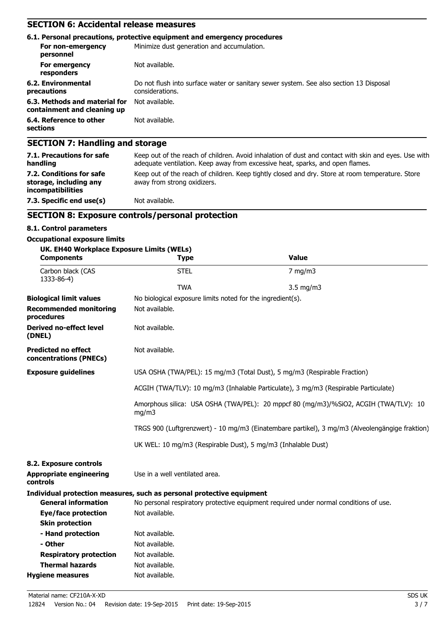### **SECTION 6: Accidental release measures**

|                                                              | 6.1. Personal precautions, protective equipment and emergency procedures                                  |
|--------------------------------------------------------------|-----------------------------------------------------------------------------------------------------------|
| For non-emergency<br>personnel                               | Minimize dust generation and accumulation.                                                                |
| For emergency<br>responders                                  | Not available.                                                                                            |
| 6.2. Environmental<br>precautions                            | Do not flush into surface water or sanitary sewer system. See also section 13 Disposal<br>considerations. |
| 6.3. Methods and material for<br>containment and cleaning up | Not available.                                                                                            |
| 6.4. Reference to other<br>sections                          | Not available.                                                                                            |
| <b>SECTION 7: Handling and storage</b>                       |                                                                                                           |

| <b>PLUITURY: Handhilly and Storage</b>                                                                                                                                                |
|---------------------------------------------------------------------------------------------------------------------------------------------------------------------------------------|
| Keep out of the reach of children. Avoid inhalation of dust and contact with skin and eyes. Use with<br>adequate ventilation. Keep away from excessive heat, sparks, and open flames. |
| Keep out of the reach of children. Keep tightly closed and dry. Store at room temperature. Store<br>away from strong oxidizers.                                                       |
| Not available.                                                                                                                                                                        |
|                                                                                                                                                                                       |

### **SECTION 8: Exposure controls/personal protection**

#### **8.1. Control parameters**

#### **Occupational exposure limits**

| UK. EH40 Workplace Exposure Limits (WELs)<br><b>Components</b> | <b>Type</b>                                                                                    | <b>Value</b>                                                                          |  |
|----------------------------------------------------------------|------------------------------------------------------------------------------------------------|---------------------------------------------------------------------------------------|--|
| Carbon black (CAS<br>1333-86-4)                                | <b>STEL</b>                                                                                    | $7$ mg/m $3$                                                                          |  |
|                                                                | <b>TWA</b>                                                                                     | $3.5$ mg/m $3$                                                                        |  |
| <b>Biological limit values</b>                                 | No biological exposure limits noted for the ingredient(s).                                     |                                                                                       |  |
| <b>Recommended monitoring</b><br>procedures                    | Not available.                                                                                 |                                                                                       |  |
| <b>Derived no-effect level</b><br>(DNEL)                       | Not available.                                                                                 |                                                                                       |  |
| <b>Predicted no effect</b><br>concentrations (PNECs)           | Not available.                                                                                 |                                                                                       |  |
| <b>Exposure guidelines</b>                                     | USA OSHA (TWA/PEL): 15 mg/m3 (Total Dust), 5 mg/m3 (Respirable Fraction)                       |                                                                                       |  |
|                                                                | ACGIH (TWA/TLV): 10 mg/m3 (Inhalable Particulate), 3 mg/m3 (Respirable Particulate)            |                                                                                       |  |
|                                                                | Amorphous silica: USA OSHA (TWA/PEL): 20 mppcf 80 (mg/m3)/%SiO2, ACGIH (TWA/TLV): 10<br>mg/m3  |                                                                                       |  |
|                                                                | TRGS 900 (Luftgrenzwert) - 10 mg/m3 (Einatembare partikel), 3 mg/m3 (Alveolengängige fraktion) |                                                                                       |  |
|                                                                | UK WEL: 10 mg/m3 (Respirable Dust), 5 mg/m3 (Inhalable Dust)                                   |                                                                                       |  |
| 8.2. Exposure controls                                         |                                                                                                |                                                                                       |  |
| <b>Appropriate engineering</b><br>controls                     | Use in a well ventilated area.                                                                 |                                                                                       |  |
|                                                                | Individual protection measures, such as personal protective equipment                          |                                                                                       |  |
| <b>General information</b>                                     |                                                                                                | No personal respiratory protective equipment required under normal conditions of use. |  |
| <b>Eye/face protection</b>                                     | Not available.                                                                                 |                                                                                       |  |
| <b>Skin protection</b>                                         |                                                                                                |                                                                                       |  |
| - Hand protection                                              | Not available.                                                                                 |                                                                                       |  |
| - Other                                                        | Not available.                                                                                 |                                                                                       |  |
| <b>Respiratory protection</b>                                  | Not available.                                                                                 |                                                                                       |  |
| <b>Thermal hazards</b>                                         | Not available.                                                                                 |                                                                                       |  |
| <b>Hygiene measures</b>                                        | Not available.                                                                                 |                                                                                       |  |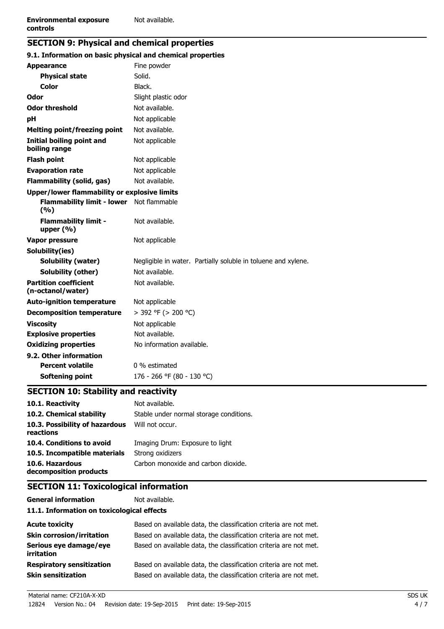### **SECTION 9: Physical and chemical properties**

| 9.1. Information on basic physical and chemical properties |                                                               |
|------------------------------------------------------------|---------------------------------------------------------------|
| <b>Appearance</b>                                          | Fine powder                                                   |
| <b>Physical state</b>                                      | Solid.                                                        |
| <b>Color</b>                                               | Black.                                                        |
| Odor                                                       | Slight plastic odor                                           |
| <b>Odor threshold</b>                                      | Not available.                                                |
| рH                                                         | Not applicable                                                |
| <b>Melting point/freezing point</b>                        | Not available.                                                |
| <b>Initial boiling point and</b><br>boiling range          | Not applicable                                                |
| <b>Flash point</b>                                         | Not applicable                                                |
| <b>Evaporation rate</b>                                    | Not applicable                                                |
| <b>Flammability (solid, gas)</b>                           | Not available.                                                |
| Upper/lower flammability or explosive limits               |                                                               |
| <b>Flammability limit - lower</b><br>(%)                   | Not flammable                                                 |
| <b>Flammability limit -</b><br>upper $(% )$                | Not available.                                                |
| Vapor pressure                                             | Not applicable                                                |
| Solubility(ies)                                            |                                                               |
| Solubility (water)                                         | Negligible in water. Partially soluble in toluene and xylene. |
| Solubility (other)                                         | Not available.                                                |
| <b>Partition coefficient</b><br>(n-octanol/water)          | Not available.                                                |
| <b>Auto-ignition temperature</b>                           | Not applicable                                                |
| <b>Decomposition temperature</b>                           | > 392 °F (> 200 °C)                                           |
| <b>Viscosity</b>                                           | Not applicable                                                |
| <b>Explosive properties</b>                                | Not available.                                                |
| <b>Oxidizing properties</b>                                | No information available.                                     |
| 9.2. Other information                                     |                                                               |
| <b>Percent volatile</b>                                    | 0 % estimated                                                 |
| Softening point                                            | 176 - 266 °F (80 - 130 °C)                                    |

## **SECTION 10: Stability and reactivity**

| 10.1. Reactivity                            | Not available.                          |
|---------------------------------------------|-----------------------------------------|
| 10.2. Chemical stability                    | Stable under normal storage conditions. |
| 10.3. Possibility of hazardous<br>reactions | Will not occur.                         |
| 10.4. Conditions to avoid                   | Imaging Drum: Exposure to light         |
| 10.5. Incompatible materials                | Strong oxidizers                        |
| 10.6. Hazardous<br>decomposition products   | Carbon monoxide and carbon dioxide.     |

### **SECTION 11: Toxicological information**

| <b>General information</b> |
|----------------------------|
| 11 1 Information on toxic  |

Not available.

#### **11.1. Information on toxicological effects**

| <b>Acute toxicity</b>                                         | Based on available data, the classification criteria are not met.                                                                      |
|---------------------------------------------------------------|----------------------------------------------------------------------------------------------------------------------------------------|
| <b>Skin corrosion/irritation</b>                              | Based on available data, the classification criteria are not met.                                                                      |
| Serious eye damage/eye<br><i>irritation</i>                   | Based on available data, the classification criteria are not met.                                                                      |
| <b>Respiratory sensitization</b><br><b>Skin sensitization</b> | Based on available data, the classification criteria are not met.<br>Based on available data, the classification criteria are not met. |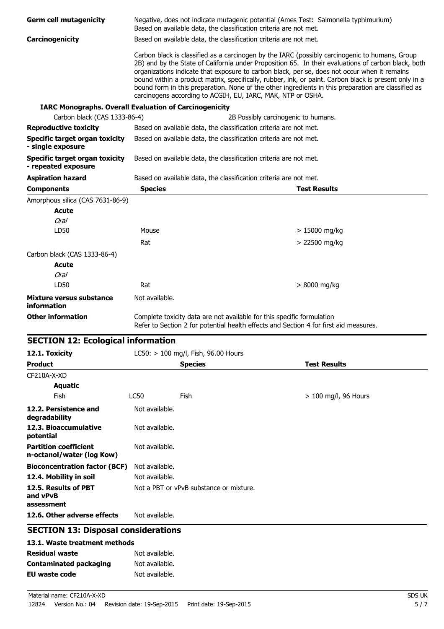| <b>Germ cell mutagenicity</b>                                 | Negative, does not indicate mutagenic potential (Ames Test: Salmonella typhimurium)<br>Based on available data, the classification criteria are not met. |                                                                                                                                                                 |                                                                                                                                                                                                                                                                                                                                                                                                                                                                                                                       |  |
|---------------------------------------------------------------|----------------------------------------------------------------------------------------------------------------------------------------------------------|-----------------------------------------------------------------------------------------------------------------------------------------------------------------|-----------------------------------------------------------------------------------------------------------------------------------------------------------------------------------------------------------------------------------------------------------------------------------------------------------------------------------------------------------------------------------------------------------------------------------------------------------------------------------------------------------------------|--|
| Carcinogenicity                                               | Based on available data, the classification criteria are not met.                                                                                        |                                                                                                                                                                 |                                                                                                                                                                                                                                                                                                                                                                                                                                                                                                                       |  |
|                                                               |                                                                                                                                                          | carcinogens according to ACGIH, EU, IARC, MAK, NTP or OSHA.                                                                                                     | Carbon black is classified as a carcinogen by the IARC (possibly carcinogenic to humans, Group<br>2B) and by the State of California under Proposition 65. In their evaluations of carbon black, both<br>organizations indicate that exposure to carbon black, per se, does not occur when it remains<br>bound within a product matrix, specifically, rubber, ink, or paint. Carbon black is present only in a<br>bound form in this preparation. None of the other ingredients in this preparation are classified as |  |
| <b>IARC Monographs. Overall Evaluation of Carcinogenicity</b> |                                                                                                                                                          |                                                                                                                                                                 |                                                                                                                                                                                                                                                                                                                                                                                                                                                                                                                       |  |
| Carbon black (CAS 1333-86-4)                                  |                                                                                                                                                          | 2B Possibly carcinogenic to humans.                                                                                                                             |                                                                                                                                                                                                                                                                                                                                                                                                                                                                                                                       |  |
| <b>Reproductive toxicity</b>                                  | Based on available data, the classification criteria are not met.                                                                                        |                                                                                                                                                                 |                                                                                                                                                                                                                                                                                                                                                                                                                                                                                                                       |  |
| <b>Specific target organ toxicity</b><br>- single exposure    | Based on available data, the classification criteria are not met.                                                                                        |                                                                                                                                                                 |                                                                                                                                                                                                                                                                                                                                                                                                                                                                                                                       |  |
| <b>Specific target organ toxicity</b><br>- repeated exposure  | Based on available data, the classification criteria are not met.                                                                                        |                                                                                                                                                                 |                                                                                                                                                                                                                                                                                                                                                                                                                                                                                                                       |  |
| <b>Aspiration hazard</b>                                      |                                                                                                                                                          | Based on available data, the classification criteria are not met.                                                                                               |                                                                                                                                                                                                                                                                                                                                                                                                                                                                                                                       |  |
| <b>Components</b>                                             | <b>Species</b>                                                                                                                                           |                                                                                                                                                                 | <b>Test Results</b>                                                                                                                                                                                                                                                                                                                                                                                                                                                                                                   |  |
| Amorphous silica (CAS 7631-86-9)                              |                                                                                                                                                          |                                                                                                                                                                 |                                                                                                                                                                                                                                                                                                                                                                                                                                                                                                                       |  |
| <b>Acute</b>                                                  |                                                                                                                                                          |                                                                                                                                                                 |                                                                                                                                                                                                                                                                                                                                                                                                                                                                                                                       |  |
| <b>Oral</b>                                                   |                                                                                                                                                          |                                                                                                                                                                 |                                                                                                                                                                                                                                                                                                                                                                                                                                                                                                                       |  |
| LD50                                                          | Mouse                                                                                                                                                    |                                                                                                                                                                 | $> 15000$ mg/kg                                                                                                                                                                                                                                                                                                                                                                                                                                                                                                       |  |
|                                                               | Rat                                                                                                                                                      |                                                                                                                                                                 | $> 22500$ mg/kg                                                                                                                                                                                                                                                                                                                                                                                                                                                                                                       |  |
| Carbon black (CAS 1333-86-4)                                  |                                                                                                                                                          |                                                                                                                                                                 |                                                                                                                                                                                                                                                                                                                                                                                                                                                                                                                       |  |
| <b>Acute</b>                                                  |                                                                                                                                                          |                                                                                                                                                                 |                                                                                                                                                                                                                                                                                                                                                                                                                                                                                                                       |  |
| <b>Oral</b>                                                   |                                                                                                                                                          |                                                                                                                                                                 |                                                                                                                                                                                                                                                                                                                                                                                                                                                                                                                       |  |
| LD50                                                          | Rat                                                                                                                                                      |                                                                                                                                                                 | > 8000 mg/kg                                                                                                                                                                                                                                                                                                                                                                                                                                                                                                          |  |
| Mixture versus substance<br><b>information</b>                | Not available.                                                                                                                                           |                                                                                                                                                                 |                                                                                                                                                                                                                                                                                                                                                                                                                                                                                                                       |  |
| <b>Other information</b>                                      |                                                                                                                                                          | Complete toxicity data are not available for this specific formulation<br>Refer to Section 2 for potential health effects and Section 4 for first aid measures. |                                                                                                                                                                                                                                                                                                                                                                                                                                                                                                                       |  |
| <b>SECTION 12: Ecological information</b>                     |                                                                                                                                                          |                                                                                                                                                                 |                                                                                                                                                                                                                                                                                                                                                                                                                                                                                                                       |  |
| 12.1. Toxicity                                                | LC50: > 100 mg/l, Fish, 96.00 Hours                                                                                                                      |                                                                                                                                                                 |                                                                                                                                                                                                                                                                                                                                                                                                                                                                                                                       |  |
| <b>Product</b>                                                | <b>Species</b>                                                                                                                                           |                                                                                                                                                                 | <b>Test Results</b>                                                                                                                                                                                                                                                                                                                                                                                                                                                                                                   |  |
| CF210A-X-XD                                                   |                                                                                                                                                          |                                                                                                                                                                 |                                                                                                                                                                                                                                                                                                                                                                                                                                                                                                                       |  |
| <b>Aquatic</b>                                                |                                                                                                                                                          |                                                                                                                                                                 |                                                                                                                                                                                                                                                                                                                                                                                                                                                                                                                       |  |
| Fish                                                          | LC50<br>Fish                                                                                                                                             |                                                                                                                                                                 | $> 100$ mg/l, 96 Hours                                                                                                                                                                                                                                                                                                                                                                                                                                                                                                |  |
| 12.2. Persistence and<br>degradability                        | Not available.                                                                                                                                           |                                                                                                                                                                 |                                                                                                                                                                                                                                                                                                                                                                                                                                                                                                                       |  |
| 12.3. Bioaccumulative<br>potential                            | Not available.                                                                                                                                           |                                                                                                                                                                 |                                                                                                                                                                                                                                                                                                                                                                                                                                                                                                                       |  |
| <b>Partition coefficient</b><br>n-octanol/water (log Kow)     | Not available.                                                                                                                                           |                                                                                                                                                                 |                                                                                                                                                                                                                                                                                                                                                                                                                                                                                                                       |  |
| <b>Bioconcentration factor (BCF)</b>                          | Not available.                                                                                                                                           |                                                                                                                                                                 |                                                                                                                                                                                                                                                                                                                                                                                                                                                                                                                       |  |
| 12.4. Mobility in soil                                        | Not available.                                                                                                                                           |                                                                                                                                                                 |                                                                                                                                                                                                                                                                                                                                                                                                                                                                                                                       |  |
| 12.5. Results of PBT<br>and vPvB                              | Not a PBT or vPvB substance or mixture.                                                                                                                  |                                                                                                                                                                 |                                                                                                                                                                                                                                                                                                                                                                                                                                                                                                                       |  |
| assessment<br>12.6. Other adverse effects                     | Not available.                                                                                                                                           |                                                                                                                                                                 |                                                                                                                                                                                                                                                                                                                                                                                                                                                                                                                       |  |
| <b>SECTION 13: Disposal considerations</b>                    |                                                                                                                                                          |                                                                                                                                                                 |                                                                                                                                                                                                                                                                                                                                                                                                                                                                                                                       |  |
| 13.1. Waste treatment methods                                 |                                                                                                                                                          |                                                                                                                                                                 |                                                                                                                                                                                                                                                                                                                                                                                                                                                                                                                       |  |
| Residual waste                                                | Not available.                                                                                                                                           |                                                                                                                                                                 |                                                                                                                                                                                                                                                                                                                                                                                                                                                                                                                       |  |

### **dual waste** Not available. **Contaminated packaging** Not available. **EU waste code** Not available.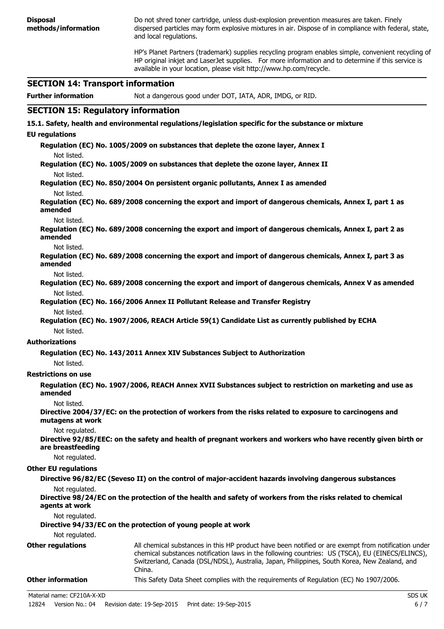**Disposal methods/information** Do not shred toner cartridge, unless dust-explosion prevention measures are taken. Finely dispersed particles may form explosive mixtures in air. Dispose of in compliance with federal, state, and local regulations. HP's Planet Partners (trademark) supplies recycling program enables simple, convenient recycling of HP original inkjet and LaserJet supplies. For more information and to determine if this service is available in your location, please visit http://www.hp.com/recycle. **SECTION 14: Transport information Further information** Not a dangerous good under DOT, IATA, ADR, IMDG, or RID. **SECTION 15: Regulatory information 15.1. Safety, health and environmental regulations/legislation specific for the substance or mixture EU regulations Regulation (EC) No. 1005/2009 on substances that deplete the ozone layer, Annex I** Not listed. **Regulation (EC) No. 1005/2009 on substances that deplete the ozone layer, Annex II** Not listed. **Regulation (EC) No. 850/2004 On persistent organic pollutants, Annex I as amended** Not listed. **Regulation (EC) No. 689/2008 concerning the export and import of dangerous chemicals, Annex I, part 1 as amended** Not listed. **Regulation (EC) No. 689/2008 concerning the export and import of dangerous chemicals, Annex I, part 2 as amended** Not listed. **Regulation (EC) No. 689/2008 concerning the export and import of dangerous chemicals, Annex I, part 3 as amended** Not listed. **Regulation (EC) No. 689/2008 concerning the export and import of dangerous chemicals, Annex V as amended** Not listed. **Regulation (EC) No. 166/2006 Annex II Pollutant Release and Transfer Registry** Not listed. **Regulation (EC) No. 1907/2006, REACH Article 59(1) Candidate List as currently published by ECHA** Not listed. **Authorizations Regulation (EC) No. 143/2011 Annex XIV Substances Subject to Authorization** Not listed. **Restrictions on use Regulation (EC) No. 1907/2006, REACH Annex XVII Substances subject to restriction on marketing and use as amended** Not listed. **Directive 2004/37/EC: on the protection of workers from the risks related to exposure to carcinogens and mutagens at work** Not regulated. **Directive 92/85/EEC: on the safety and health of pregnant workers and workers who have recently given birth or are breastfeeding** Not regulated. **Other EU regulations Directive 96/82/EC (Seveso II) on the control of major-accident hazards involving dangerous substances** Not regulated. **Directive 98/24/EC on the protection of the health and safety of workers from the risks related to chemical agents at work** Not regulated. **Directive 94/33/EC on the protection of young people at work** Not regulated. **Other regulations** All chemical substances in this HP product have been notified or are exempt from notification under chemical substances notification laws in the following countries: US (TSCA), EU (EINECS/ELINCS), Switzerland, Canada (DSL/NDSL), Australia, Japan, Philippines, South Korea, New Zealand, and China. **Other information** This Safety Data Sheet complies with the requirements of Regulation (EC) No 1907/2006.